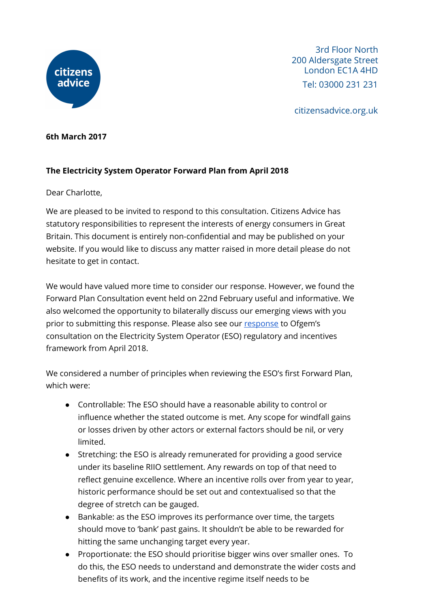

3rd Floor North 200 Aldersgate Street London EC1A 4HD Tel: 03000 231 231

citizensadvice.org.uk

#### **6th March 2017**

# **The Electricity System Operator Forward Plan from April 2018**

## Dear Charlotte,

We are pleased to be invited to respond to this consultation. Citizens Advice has statutory responsibilities to represent the interests of energy consumers in Great Britain. This document is entirely non-confidential and may be published on your website. If you would like to discuss any matter raised in more detail please do not hesitate to get in contact.

We would have valued more time to consider our response. However, we found the Forward Plan Consultation event held on 22nd February useful and informative. We also welcomed the opportunity to bilaterally discuss our emerging views with you prior to submitting this [response](https://www.citizensadvice.org.uk/about-us/policy/policy-research-topics/energy-policy-research-and-consultation-responses/energy-consultation-responses/response-to-ofgems-consultation-on-the-electricity-system-operator-eso-regulatory-and-incentives-framework-from-april-2018/). Please also see our response to Ofgem's consultation on the Electricity System Operator (ESO) regulatory and incentives framework from April 2018.

We considered a number of principles when reviewing the ESO's first Forward Plan, which were:

- Controllable: The ESO should have a reasonable ability to control or influence whether the stated outcome is met. Any scope for windfall gains or losses driven by other actors or external factors should be nil, or very limited.
- Stretching: the ESO is already remunerated for providing a good service under its baseline RIIO settlement. Any rewards on top of that need to reflect genuine excellence. Where an incentive rolls over from year to year, historic performance should be set out and contextualised so that the degree of stretch can be gauged.
- Bankable: as the ESO improves its performance over time, the targets should move to 'bank' past gains. It shouldn't be able to be rewarded for hitting the same unchanging target every year.
- Proportionate: the ESO should prioritise bigger wins over smaller ones. To do this, the ESO needs to understand and demonstrate the wider costs and benefits of its work, and the incentive regime itself needs to be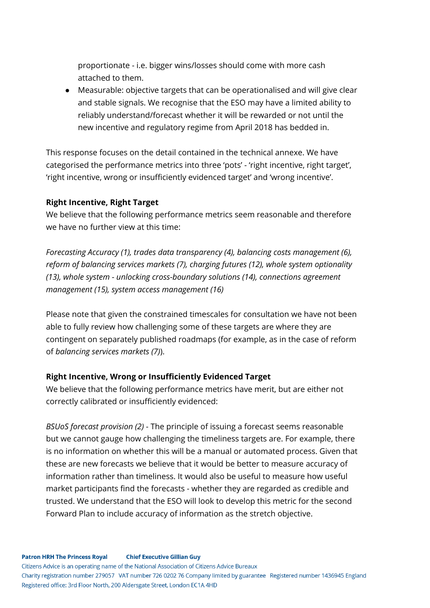proportionate - i.e. bigger wins/losses should come with more cash attached to them.

● Measurable: objective targets that can be operationalised and will give clear and stable signals. We recognise that the ESO may have a limited ability to reliably understand/forecast whether it will be rewarded or not until the new incentive and regulatory regime from April 2018 has bedded in.

This response focuses on the detail contained in the technical annexe. We have categorised the performance metrics into three 'pots' - 'right incentive, right target', 'right incentive, wrong or insufficiently evidenced target' and 'wrong incentive'.

## **Right Incentive, Right Target**

We believe that the following performance metrics seem reasonable and therefore we have no further view at this time:

*Forecasting Accuracy (1), trades data transparency (4), balancing costs management (6), reform of balancing services markets (7), charging futures (12), whole system optionality (13), whole system - unlocking cross-boundary solutions (14), connections agreement management (15), system access management (16)*

Please note that given the constrained timescales for consultation we have not been able to fully review how challenging some of these targets are where they are contingent on separately published roadmaps (for example, as in the case of reform of *balancing services markets (7)*).

# **Right Incentive, Wrong or Insufficiently Evidenced Target**

We believe that the following performance metrics have merit, but are either not correctly calibrated or insufficiently evidenced:

*BSUoS forecast provision (2)* - The principle of issuing a forecast seems reasonable but we cannot gauge how challenging the timeliness targets are. For example, there is no information on whether this will be a manual or automated process. Given that these are new forecasts we believe that it would be better to measure accuracy of information rather than timeliness. It would also be useful to measure how useful market participants find the forecasts - whether they are regarded as credible and trusted. We understand that the ESO will look to develop this metric for the second Forward Plan to include accuracy of information as the stretch objective.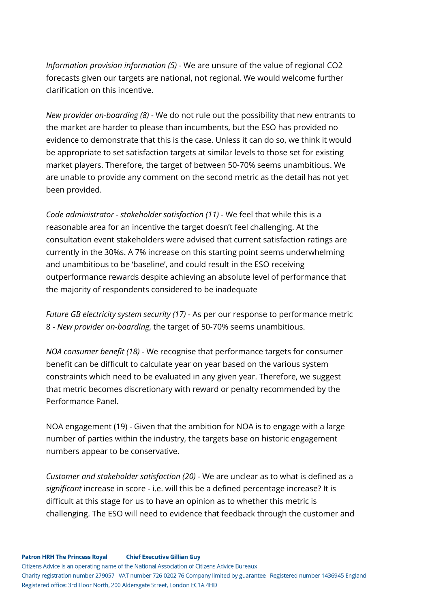*Information provision information (5)* - We are unsure of the value of regional CO2 forecasts given our targets are national, not regional. We would welcome further clarification on this incentive.

*New provider on-boarding (8)* - We do not rule out the possibility that new entrants to the market are harder to please than incumbents, but the ESO has provided no evidence to demonstrate that this is the case. Unless it can do so, we think it would be appropriate to set satisfaction targets at similar levels to those set for existing market players. Therefore, the target of between 50-70% seems unambitious. We are unable to provide any comment on the second metric as the detail has not yet been provided.

*Code administrator - stakeholder satisfaction (11)* - We feel that while this is a reasonable area for an incentive the target doesn't feel challenging. At the consultation event stakeholders were advised that current satisfaction ratings are currently in the 30%s. A 7% increase on this starting point seems underwhelming and unambitious to be 'baseline', and could result in the ESO receiving outperformance rewards despite achieving an absolute level of performance that the majority of respondents considered to be inadequate

*Future GB electricity system security (17)* - As per our response to performance metric 8 - *New provider on-boarding*, the target of 50-70% seems unambitious.

*NOA consumer benefit (18)* - We recognise that performance targets for consumer benefit can be difficult to calculate year on year based on the various system constraints which need to be evaluated in any given year. Therefore, we suggest that metric becomes discretionary with reward or penalty recommended by the Performance Panel.

NOA engagement (19) - Given that the ambition for NOA is to engage with a large number of parties within the industry, the targets base on historic engagement numbers appear to be conservative.

*Customer and stakeholder satisfaction (20)* - We are unclear as to what is defined as a *significant* increase in score - i.e. will this be a defined percentage increase? It is difficult at this stage for us to have an opinion as to whether this metric is challenging. The ESO will need to evidence that feedback through the customer and